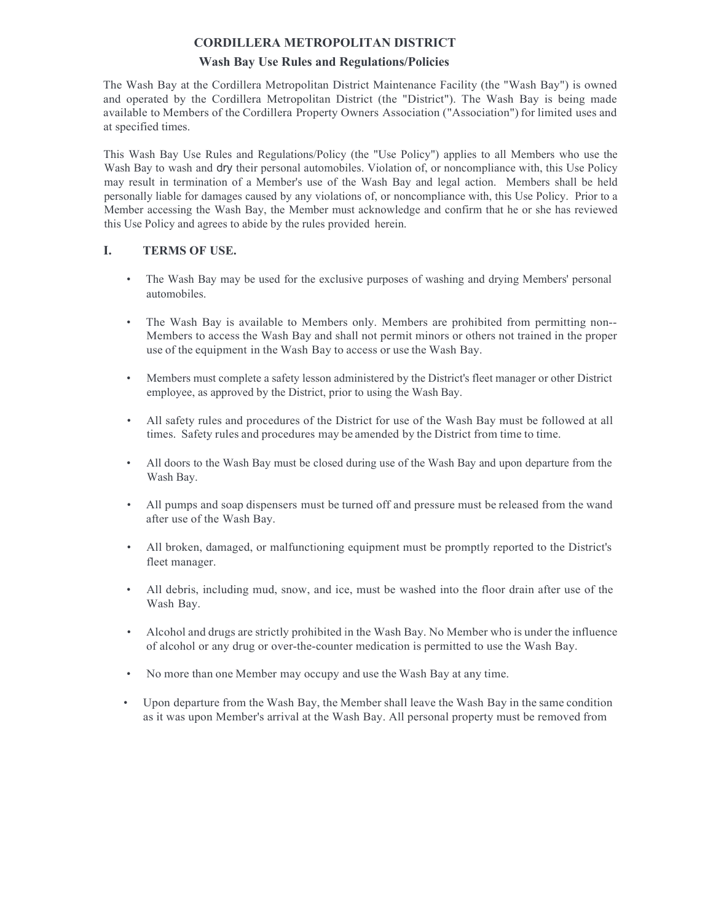## **CORDILLERA METROPOLITAN DISTRICT**

## **Wash Bay Use Rules and Regulations/Policies**

The Wash Bay at the Cordillera Metropolitan District Maintenance Facility (the "Wash Bay") is owned and operated by the Cordillera Metropolitan District (the "District"). The Wash Bay is being made available to Members of the Cordillera Property Owners Association ("Association") for limited uses and at specified times.

This Wash Bay Use Rules and Regulations/Policy (the "Use Policy") applies to all Members who use the Wash Bay to wash and dry their personal automobiles. Violation of, or noncompliance with, this Use Policy may result in termination of a Member's use of the Wash Bay and legal action. Members shall be held personally liable for damages caused by any violations of, or noncompliance with, this Use Policy. Prior to a Member accessing the Wash Bay, the Member must acknowledge and confirm that he or she has reviewed this Use Policy and agrees to abide by the rules provided herein.

## **I. TERMS OF USE.**

- The Wash Bay may be used for the exclusive purposes of washing and drying Members' personal automobiles.
- The Wash Bay is available to Members only. Members are prohibited from permitting non-- Members to access the Wash Bay and shall not permit minors or others not trained in the proper use of the equipment in the Wash Bay to access or use the Wash Bay.
- Members must complete a safety lesson administered by the District's fleet manager or other District employee, as approved by the District, prior to using the Wash Bay.
- All safety rules and procedures of the District for use of the Wash Bay must be followed at all times. Safety rules and procedures may be amended by the District from time to time.
- All doors to the Wash Bay must be closed during use of the Wash Bay and upon departure from the Wash Bay.
- All pumps and soap dispensers must be turned off and pressure must be released from the wand after use of the Wash Bay.
- All broken, damaged, or malfunctioning equipment must be promptly reported to the District's fleet manager.
- All debris, including mud, snow, and ice, must be washed into the floor drain after use of the Wash Bay.
- Alcohol and drugs are strictly prohibited in the Wash Bay. No Member who is under the influence of alcohol or any drug or over-the-counter medication is permitted to use the Wash Bay.
- No more than one Member may occupy and use the Wash Bay at any time.
- Upon departure from the Wash Bay, the Member shall leave the Wash Bay in the same condition as it was upon Member's arrival at the Wash Bay. All personal property must be removed from